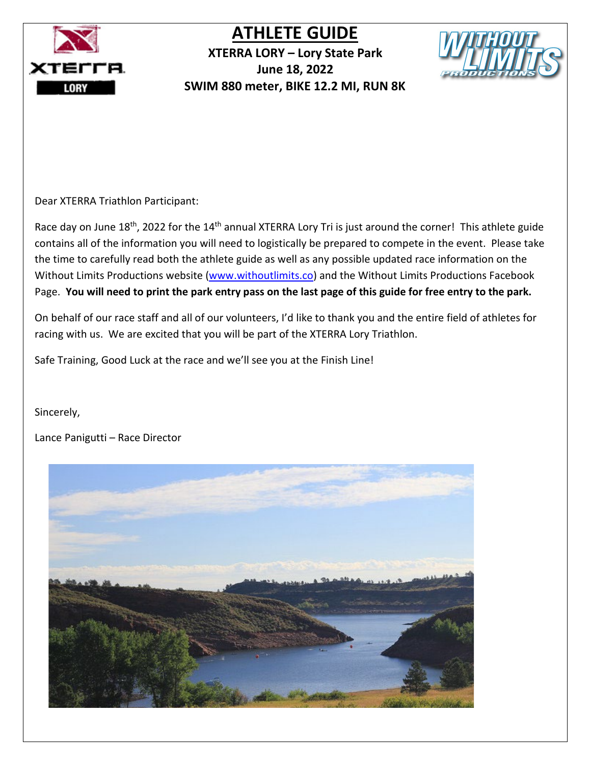

**XTERRA LORY – Lory State Park June 18, 2022 SWIM 880 meter, BIKE 12.2 MI, RUN 8K** 



Dear XTERRA Triathlon Participant:

Race day on June 18<sup>th</sup>, 2022 for the 14<sup>th</sup> annual XTERRA Lory Tri is just around the corner! This athlete guide contains all of the information you will need to logistically be prepared to compete in the event. Please take the time to carefully read both the athlete guide as well as any possible updated race information on the Without Limits Productions website [\(www.withoutlimits.co\)](http://www.withoutlimits.co/) and the Without Limits Productions Facebook Page. **You will need to print the park entry pass on the last page of this guide for free entry to the park.**

On behalf of our race staff and all of our volunteers, I'd like to thank you and the entire field of athletes for racing with us. We are excited that you will be part of the XTERRA Lory Triathlon.

Safe Training, Good Luck at the race and we'll see you at the Finish Line!

Sincerely,

Lance Panigutti – Race Director

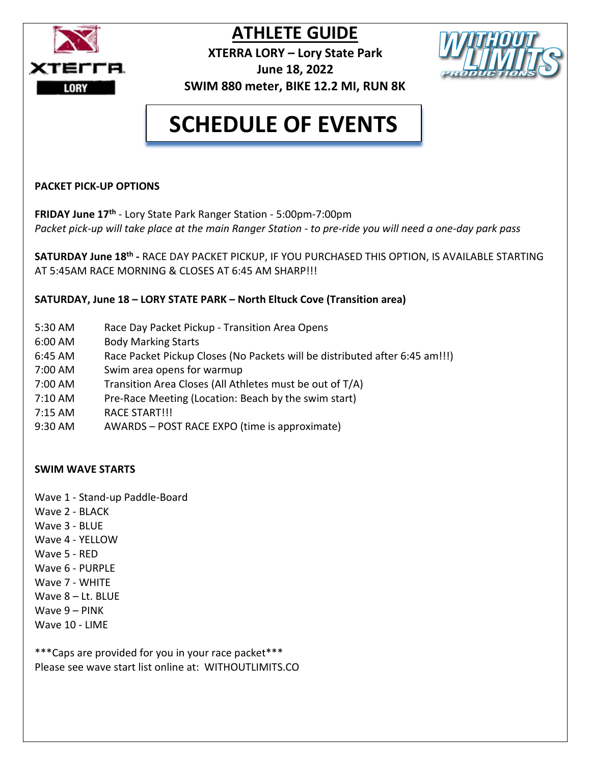

**XTERRA LORY – Lory State Park June 18, 2022**



## **SCHEDULE OF EVENTS**

#### **PACKET PICK-UP OPTIONS**

**FRIDAY June 17th** - Lory State Park Ranger Station - 5:00pm-7:00pm Packet pick-up will take place at the main Ranger Station - to pre-ride you will need a one-day park pass

**SATURDAY June 18th -** RACE DAY PACKET PICKUP, IF YOU PURCHASED THIS OPTION, IS AVAILABLE STARTING AT 5:45AM RACE MORNING & CLOSES AT 6:45 AM SHARP!!!

**SATURDAY, June 18 – LORY STATE PARK – North Eltuck Cove (Transition area)**

- 5:30 AM Race Day Packet Pickup Transition Area Opens
- 6:00 AM Body Marking Starts
- 6:45 AM Race Packet Pickup Closes (No Packets will be distributed after 6:45 am!!!)
- 7:00 AM Swim area opens for warmup
- 7:00 AM Transition Area Closes (All Athletes must be out of T/A)
- 7:10 AM Pre-Race Meeting (Location: Beach by the swim start)
- 7:15 AM RACE START!!!
- 9:30 AM AWARDS POST RACE EXPO (time is approximate)

#### **SWIM WAVE STARTS**

- Wave 1 Stand-up Paddle-Board
- Wave 2 BLACK
- Wave 3 BLUE
- Wave 4 YELLOW
- Wave 5 RED
- Wave 6 PURPLE
- Wave 7 WHITE
- Wave 8 Lt. BLUE
- Wave 9 PINK
- Wave 10 LIME

\*\*\*Caps are provided for you in your race packet\*\*\* Please see wave start list online at: WITHOUTLIMITS.CO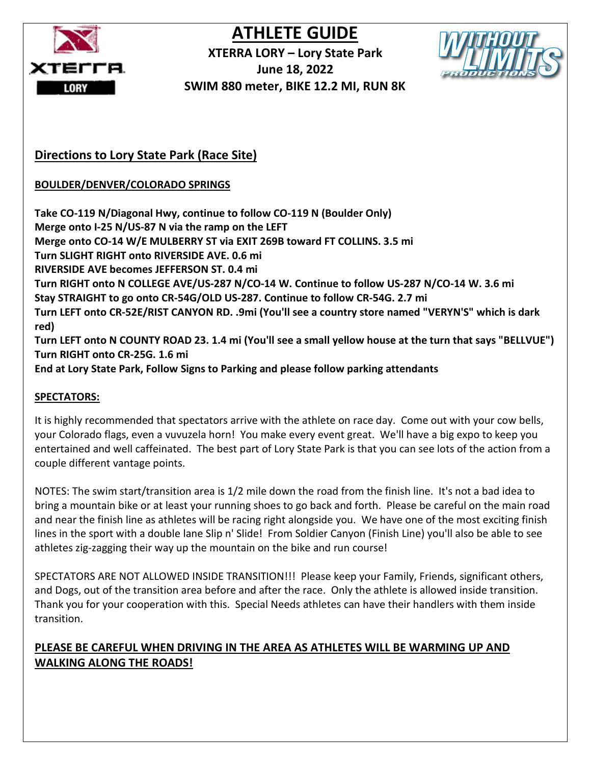

**XTERRA LORY – Lory State Park June 18, 2022 SWIM 880 meter, BIKE 12.2 MI, RUN 8K** 



#### **Directions to Lory State Park (Race Site)**

**BOULDER/DENVER/COLORADO SPRINGS**

**Take CO-119 N/Diagonal Hwy, continue to follow CO-119 N (Boulder Only) Merge onto I-25 N/US-87 N via the ramp on the LEFT Merge onto CO-14 W/E MULBERRY ST via EXIT 269B toward FT COLLINS. 3.5 mi Turn SLIGHT RIGHT onto RIVERSIDE AVE. 0.6 mi RIVERSIDE AVE becomes JEFFERSON ST. 0.4 mi Turn RIGHT onto N COLLEGE AVE/US-287 N/CO-14 W. Continue to follow US-287 N/CO-14 W. 3.6 mi Stay STRAIGHT to go onto CR-54G/OLD US-287. Continue to follow CR-54G. 2.7 mi Turn LEFT onto CR-52E/RIST CANYON RD. .9mi (You'll see a country store named "VERYN'S" which is dark red) Turn LEFT onto N COUNTY ROAD 23. 1.4 mi (You'll see a small yellow house at the turn that says "BELLVUE") Turn RIGHT onto CR-25G. 1.6 mi End at Lory State Park, Follow Signs to Parking and please follow parking attendants** 

#### **SPECTATORS:**

It is highly recommended that spectators arrive with the athlete on race day. Come out with your cow bells, your Colorado flags, even a vuvuzela horn! You make every event great. We'll have a big expo to keep you entertained and well caffeinated. The best part of Lory State Park is that you can see lots of the action from a couple different vantage points.

NOTES: The swim start/transition area is 1/2 mile down the road from the finish line. It's not a bad idea to bring a mountain bike or at least your running shoes to go back and forth. Please be careful on the main road and near the finish line as athletes will be racing right alongside you. We have one of the most exciting finish lines in the sport with a double lane Slip n' Slide! From Soldier Canyon (Finish Line) you'll also be able to see athletes zig-zagging their way up the mountain on the bike and run course!

SPECTATORS ARE NOT ALLOWED INSIDE TRANSITION!!! Please keep your Family, Friends, significant others, and Dogs, out of the transition area before and after the race. Only the athlete is allowed inside transition. Thank you for your cooperation with this. Special Needs athletes can have their handlers with them inside transition.

#### **PLEASE BE CAREFUL WHEN DRIVING IN THE AREA AS ATHLETES WILL BE WARMING UP AND WALKING ALONG THE ROADS!**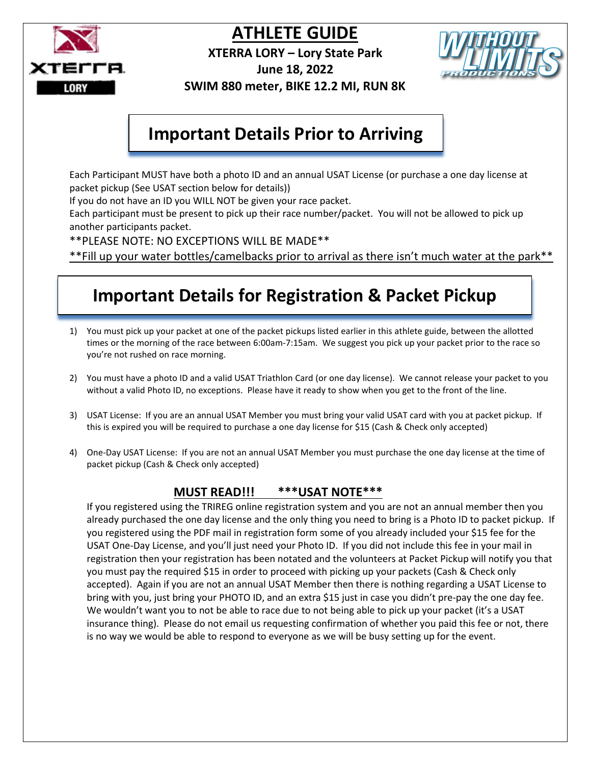

**XTERRA LORY – Lory State Park**



**June 18, 2022** 

 **SWIM 880 meter, BIKE 12.2 MI, RUN 8K** 

## **Important Details Prior to Arriving**

Each Participant MUST have both a photo ID and an annual USAT License (or purchase a one day license at packet pickup (See USAT section below for details))

If you do not have an ID you WILL NOT be given your race packet.

Each participant must be present to pick up their race number/packet. You will not be allowed to pick up another participants packet.

\*\*PLEASE NOTE: NO EXCEPTIONS WILL BE MADE\*\*

\*\*Fill up your water bottles/camelbacks prior to arrival as there isn't much water at the park\*\*

## **Important Details for Registration & Packet Pickup**

- 1) You must pick up your packet at one of the packet pickups listed earlier in this athlete guide, between the allotted times or the morning of the race between 6:00am-7:15am. We suggest you pick up your packet prior to the race so you're not rushed on race morning.
- 2) You must have a photo ID and a valid USAT Triathlon Card (or one day license). We cannot release your packet to you without a valid Photo ID, no exceptions. Please have it ready to show when you get to the front of the line.
- 3) USAT License: If you are an annual USAT Member you must bring your valid USAT card with you at packet pickup. If this is expired you will be required to purchase a one day license for \$15 (Cash & Check only accepted)
- 4) One-Day USAT License: If you are not an annual USAT Member you must purchase the one day license at the time of packet pickup (Cash & Check only accepted)

#### **MUST READ!!! \*\*\*USAT NOTE\*\*\***

If you registered using the TRIREG online registration system and you are not an annual member then you already purchased the one day license and the only thing you need to bring is a Photo ID to packet pickup. If you registered using the PDF mail in registration form some of you already included your \$15 fee for the USAT One-Day License, and you'll just need your Photo ID. If you did not include this fee in your mail in registration then your registration has been notated and the volunteers at Packet Pickup will notify you that you must pay the required \$15 in order to proceed with picking up your packets (Cash & Check only accepted). Again if you are not an annual USAT Member then there is nothing regarding a USAT License to bring with you, just bring your PHOTO ID, and an extra \$15 just in case you didn't pre-pay the one day fee. We wouldn't want you to not be able to race due to not being able to pick up your packet (it's a USAT insurance thing). Please do not email us requesting confirmation of whether you paid this fee or not, there is no way we would be able to respond to everyone as we will be busy setting up for the event.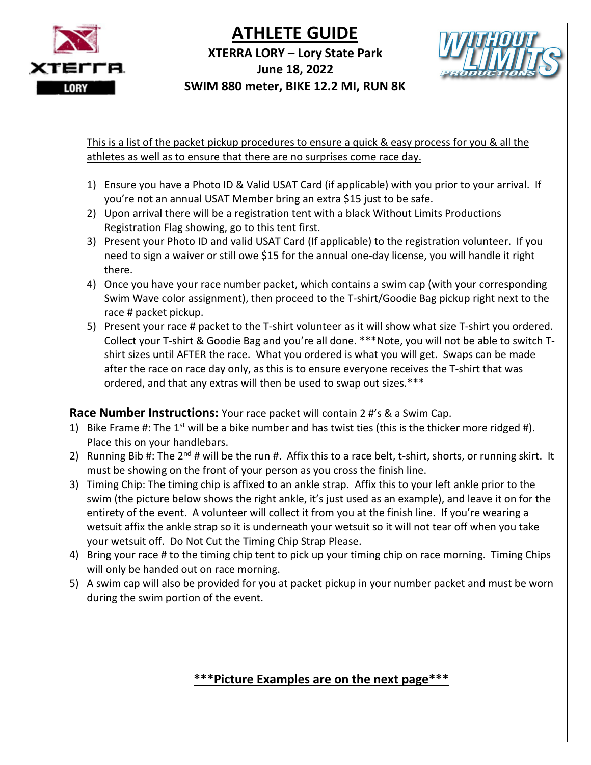

#### **XTERRA LORY – Lory State Park June 18, 2022**



 **SWIM 880 meter, BIKE 12.2 MI, RUN 8K** 

This is a list of the packet pickup procedures to ensure a quick & easy process for you & all the athletes as well as to ensure that there are no surprises come race day.

- 1) Ensure you have a Photo ID & Valid USAT Card (if applicable) with you prior to your arrival. If you're not an annual USAT Member bring an extra \$15 just to be safe.
- 2) Upon arrival there will be a registration tent with a black Without Limits Productions Registration Flag showing, go to this tent first.
- 3) Present your Photo ID and valid USAT Card (If applicable) to the registration volunteer. If you need to sign a waiver or still owe \$15 for the annual one-day license, you will handle it right there.
- 4) Once you have your race number packet, which contains a swim cap (with your corresponding Swim Wave color assignment), then proceed to the T-shirt/Goodie Bag pickup right next to the race # packet pickup.
- 5) Present your race # packet to the T-shirt volunteer as it will show what size T-shirt you ordered. Collect your T-shirt & Goodie Bag and you're all done. \*\*\*Note, you will not be able to switch Tshirt sizes until AFTER the race. What you ordered is what you will get. Swaps can be made after the race on race day only, as this is to ensure everyone receives the T-shirt that was ordered, and that any extras will then be used to swap out sizes.\*\*\*

**Race Number Instructions:** Your race packet will contain 2 #'s & a Swim Cap.

- 1) Bike Frame #: The  $1^{st}$  will be a bike number and has twist ties (this is the thicker more ridged #). Place this on your handlebars.
- 2) Running Bib #: The  $2^{nd}$  # will be the run #. Affix this to a race belt, t-shirt, shorts, or running skirt. It must be showing on the front of your person as you cross the finish line.
- 3) Timing Chip: The timing chip is affixed to an ankle strap. Affix this to your left ankle prior to the swim (the picture below shows the right ankle, it's just used as an example), and leave it on for the entirety of the event. A volunteer will collect it from you at the finish line. If you're wearing a wetsuit affix the ankle strap so it is underneath your wetsuit so it will not tear off when you take your wetsuit off. Do Not Cut the Timing Chip Strap Please.
- 4) Bring your race # to the timing chip tent to pick up your timing chip on race morning. Timing Chips will only be handed out on race morning.
- 5) A swim cap will also be provided for you at packet pickup in your number packet and must be worn during the swim portion of the event.

### **\*\*\*Picture Examples are on the next page\*\*\***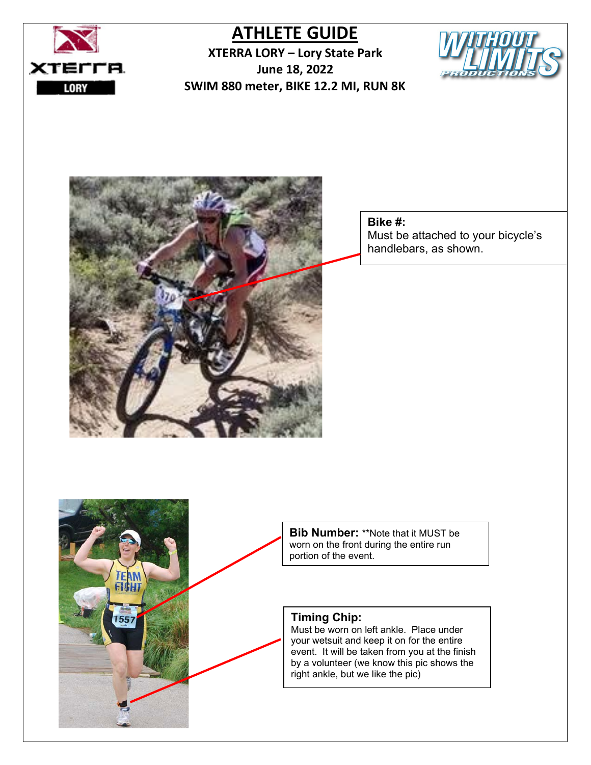

**XTERRA LORY – Lory State Park June 18, 2022 SWIM 880 meter, BIKE 12.2 MI, RUN 8K**





#### **Bike #:**

Must be attached to your bicycle's handlebars, as shown.

**Bib Number:** \*\*Note that it MUST be worn on the front during the entire run portion of the event.

#### **Timing Chip:**

Must be worn on left ankle. Place under your wetsuit and keep it on for the entire event. It will be taken from you at the finish by a volunteer (we know this pic shows the right ankle, but we like the pic)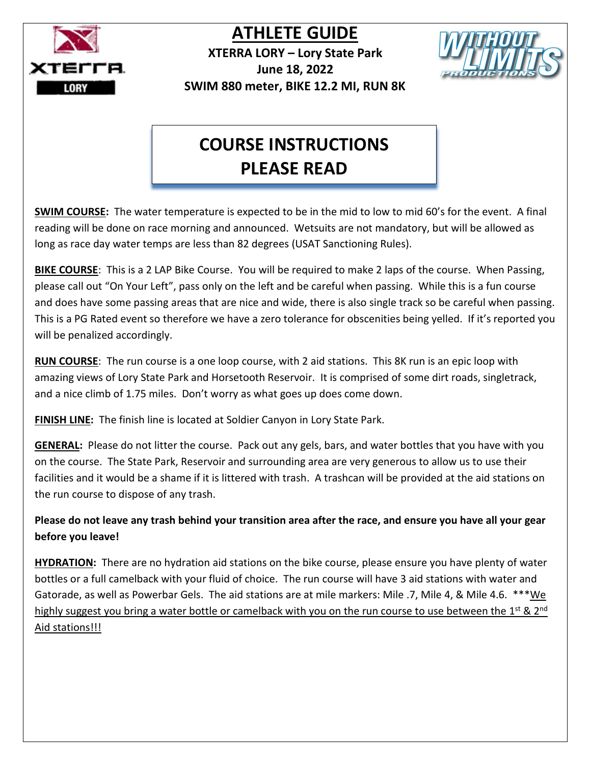

**XTERRA LORY – Lory State Park June 18, 2022 SWIM 880 meter, BIKE 12.2 MI, RUN 8K** 



## **COURSE INSTRUCTIONS PLEASE READ**

**SWIM COURSE:** The water temperature is expected to be in the mid to low to mid 60's for the event. A final reading will be done on race morning and announced. Wetsuits are not mandatory, but will be allowed as long as race day water temps are less than 82 degrees (USAT Sanctioning Rules).

**BIKE COURSE**: This is a 2 LAP Bike Course. You will be required to make 2 laps of the course. When Passing, please call out "On Your Left", pass only on the left and be careful when passing. While this is a fun course and does have some passing areas that are nice and wide, there is also single track so be careful when passing. This is a PG Rated event so therefore we have a zero tolerance for obscenities being yelled. If it's reported you will be penalized accordingly.

**RUN COURSE**: The run course is a one loop course, with 2 aid stations. This 8K run is an epic loop with amazing views of Lory State Park and Horsetooth Reservoir. It is comprised of some dirt roads, singletrack, and a nice climb of 1.75 miles. Don't worry as what goes up does come down.

**FINISH LINE:** The finish line is located at Soldier Canyon in Lory State Park.

**GENERAL:** Please do not litter the course. Pack out any gels, bars, and water bottles that you have with you on the course. The State Park, Reservoir and surrounding area are very generous to allow us to use their facilities and it would be a shame if it is littered with trash. A trashcan will be provided at the aid stations on the run course to dispose of any trash.

**Please do not leave any trash behind your transition area after the race, and ensure you have all your gear before you leave!**

**HYDRATION:** There are no hydration aid stations on the bike course, please ensure you have plenty of water bottles or a full camelback with your fluid of choice. The run course will have 3 aid stations with water and Gatorade, as well as Powerbar Gels. The aid stations are at mile markers: Mile .7, Mile 4, & Mile 4.6. \*\*\*We highly suggest you bring a water bottle or camelback with you on the run course to use between the 1<sup>st</sup> & 2<sup>nd</sup> Aid stations!!!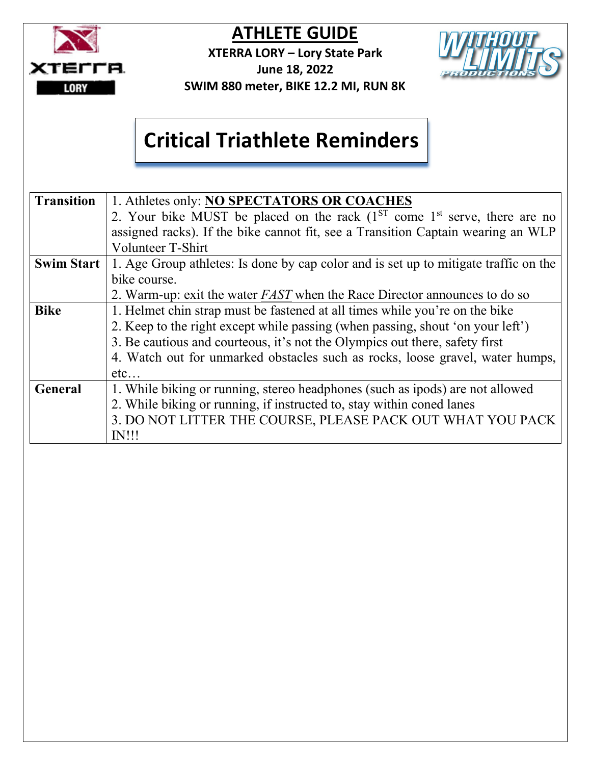

**XTERRA LORY – Lory State Park June 18, 2022** 



## **Critical Triathlete Reminders**

| <b>Transition</b> | 1. Athletes only: NO SPECTATORS OR COACHES                                           |
|-------------------|--------------------------------------------------------------------------------------|
|                   | 2. Your bike MUST be placed on the rack $(1^{ST}$ come $1^{st}$ serve, there are no  |
|                   | assigned racks). If the bike cannot fit, see a Transition Captain wearing an WLP     |
|                   | Volunteer T-Shirt                                                                    |
| <b>Swim Start</b> | 1. Age Group athletes: Is done by cap color and is set up to mitigate traffic on the |
|                   | bike course.                                                                         |
|                   | 2. Warm-up: exit the water <i>FAST</i> when the Race Director announces to do so     |
| <b>Bike</b>       | 1. Helmet chin strap must be fastened at all times while you're on the bike          |
|                   | 2. Keep to the right except while passing (when passing, shout 'on your left')       |
|                   | 3. Be cautious and courteous, it's not the Olympics out there, safety first          |
|                   | 4. Watch out for unmarked obstacles such as rocks, loose gravel, water humps,        |
|                   | etc                                                                                  |
| <b>General</b>    | 1. While biking or running, stereo headphones (such as ipods) are not allowed        |
|                   | 2. While biking or running, if instructed to, stay within coned lanes                |
|                   | 3. DO NOT LITTER THE COURSE, PLEASE PACK OUT WHAT YOU PACK                           |
|                   | <b>IN!!!</b>                                                                         |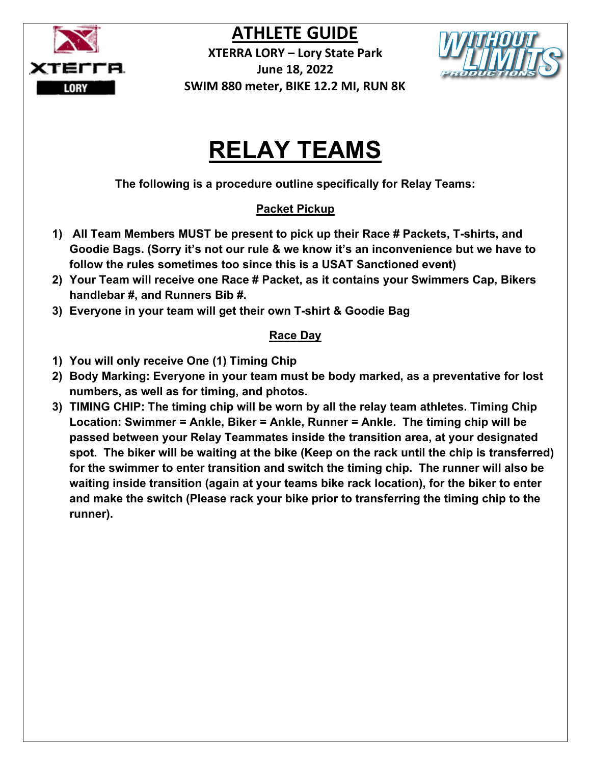

**XTERRA LORY – Lory State Park June 18, 2022 SWIM 880 meter, BIKE 12.2 MI, RUN 8K** 



## **RELAY TEAMS**

**The following is a procedure outline specifically for Relay Teams:**

#### **Packet Pickup**

- **1) All Team Members MUST be present to pick up their Race # Packets, T-shirts, and Goodie Bags. (Sorry it's not our rule & we know it's an inconvenience but we have to follow the rules sometimes too since this is a USAT Sanctioned event)**
- **2) Your Team will receive one Race # Packet, as it contains your Swimmers Cap, Bikers handlebar #, and Runners Bib #.**
- **3) Everyone in your team will get their own T-shirt & Goodie Bag**

#### **Race Day**

- **1) You will only receive One (1) Timing Chip**
- **2) Body Marking: Everyone in your team must be body marked, as a preventative for lost numbers, as well as for timing, and photos.**
- **3) TIMING CHIP: The timing chip will be worn by all the relay team athletes. Timing Chip Location: Swimmer = Ankle, Biker = Ankle, Runner = Ankle. The timing chip will be passed between your Relay Teammates inside the transition area, at your designated spot. The biker will be waiting at the bike (Keep on the rack until the chip is transferred) for the swimmer to enter transition and switch the timing chip. The runner will also be waiting inside transition (again at your teams bike rack location), for the biker to enter and make the switch (Please rack your bike prior to transferring the timing chip to the runner).**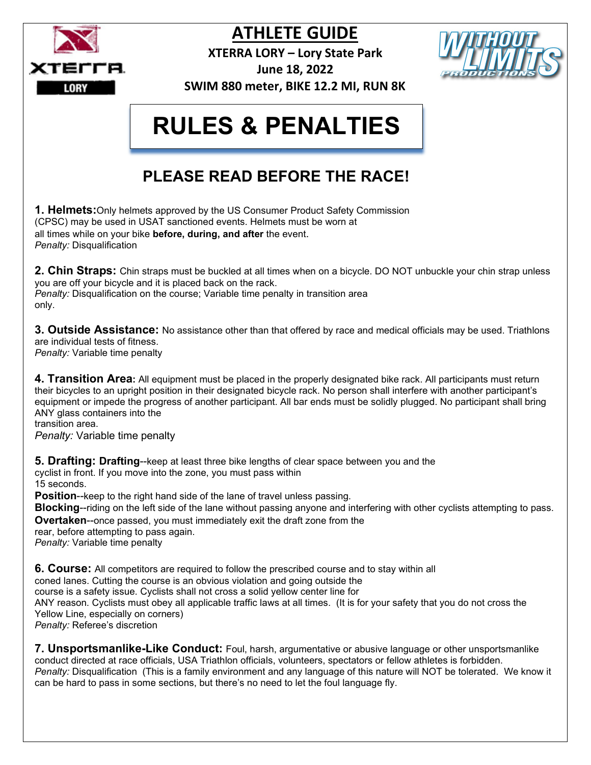

**XTERRA LORY – Lory State Park**



**June 18, 2022 SWIM 880 meter, BIKE 12.2 MI, RUN 8K**

## **RULES & PENALTIES**

## **PLEASE READ BEFORE THE RACE!**

**1. Helmets:**Only helmets approved by the US Consumer Product Safety Commission (CPSC) may be used in USAT sanctioned events. Helmets must be worn at all times while on your bike **before, during, and after** the event. *Penalty:* Disqualification

**2. Chin Straps:** Chin straps must be buckled at all times when on a bicycle. DO NOT unbuckle your chin strap unless you are off your bicycle and it is placed back on the rack. *Penalty:* Disqualification on the course; Variable time penalty in transition area only.

**3. Outside Assistance:** No assistance other than that offered by race and medical officials may be used. Triathlons are individual tests of fitness.

*Penalty:* Variable time penalty

**4. Transition Area:** All equipment must be placed in the properly designated bike rack. All participants must return their bicycles to an upright position in their designated bicycle rack. No person shall interfere with another participant's equipment or impede the progress of another participant. All bar ends must be solidly plugged. No participant shall bring ANY glass containers into the

transition area.

*Penalty:* Variable time penalty

**5. Drafting: Drafting**--keep at least three bike lengths of clear space between you and the cyclist in front. If you move into the zone, you must pass within 15 seconds.

**Position**--keep to the right hand side of the lane of travel unless passing.

**Blocking**--riding on the left side of the lane without passing anyone and interfering with other cyclists attempting to pass. **Overtaken--**once passed, you must immediately exit the draft zone from the

rear, before attempting to pass again.

*Penalty:* Variable time penalty

**6. Course:** All competitors are required to follow the prescribed course and to stay within all coned lanes. Cutting the course is an obvious violation and going outside the course is a safety issue. Cyclists shall not cross a solid yellow center line for ANY reason. Cyclists must obey all applicable traffic laws at all times. (It is for your safety that you do not cross the Yellow Line, especially on corners) *Penalty:* Referee's discretion

**7. Unsportsmanlike-Like Conduct:** Foul, harsh, argumentative or abusive language or other unsportsmanlike conduct directed at race officials, USA Triathlon officials, volunteers, spectators or fellow athletes is forbidden. *Penalty:* Disqualification (This is a family environment and any language of this nature will NOT be tolerated. We know it can be hard to pass in some sections, but there's no need to let the foul language fly.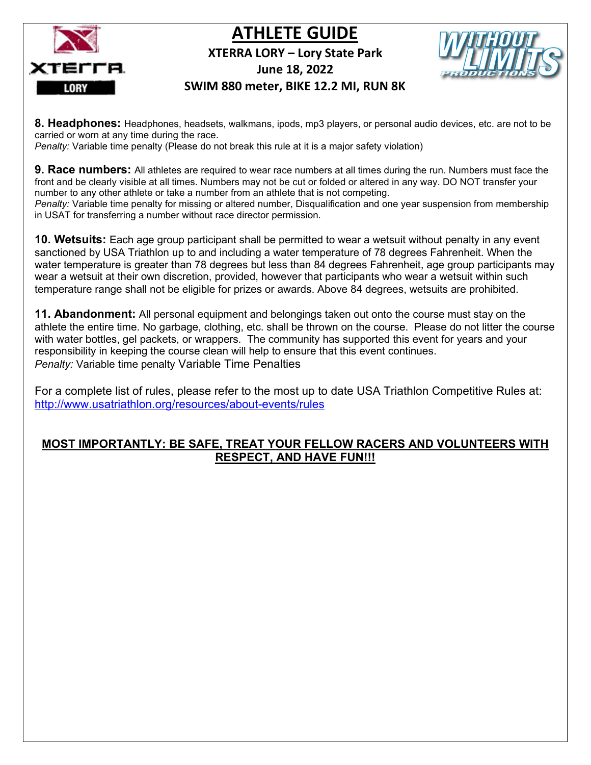



#### **XTERRA LORY – Lory State Park**



**June 18, 2022** 

#### **SWIM 880 meter, BIKE 12.2 MI, RUN 8K**

**8. Headphones:** Headphones, headsets, walkmans, ipods, mp3 players, or personal audio devices, etc. are not to be carried or worn at any time during the race.

*Penalty:* Variable time penalty (Please do not break this rule at it is a major safety violation)

**9. Race numbers:** All athletes are required to wear race numbers at all times during the run. Numbers must face the front and be clearly visible at all times. Numbers may not be cut or folded or altered in any way. DO NOT transfer your number to any other athlete or take a number from an athlete that is not competing.

*Penalty:* Variable time penalty for missing or altered number, Disqualification and one year suspension from membership in USAT for transferring a number without race director permission.

**10. Wetsuits:** Each age group participant shall be permitted to wear a wetsuit without penalty in any event sanctioned by USA Triathlon up to and including a water temperature of 78 degrees Fahrenheit. When the water temperature is greater than 78 degrees but less than 84 degrees Fahrenheit, age group participants may wear a wetsuit at their own discretion, provided, however that participants who wear a wetsuit within such temperature range shall not be eligible for prizes or awards. Above 84 degrees, wetsuits are prohibited.

**11. Abandonment:** All personal equipment and belongings taken out onto the course must stay on the athlete the entire time. No garbage, clothing, etc. shall be thrown on the course. Please do not litter the course with water bottles, gel packets, or wrappers. The community has supported this event for years and your responsibility in keeping the course clean will help to ensure that this event continues. *Penalty:* Variable time penalty Variable Time Penalties

For a complete list of rules, please refer to the most up to date USA Triathlon Competitive Rules at: <http://www.usatriathlon.org/resources/about-events/rules>

#### **MOST IMPORTANTLY: BE SAFE, TREAT YOUR FELLOW RACERS AND VOLUNTEERS WITH RESPECT, AND HAVE FUN!!!**